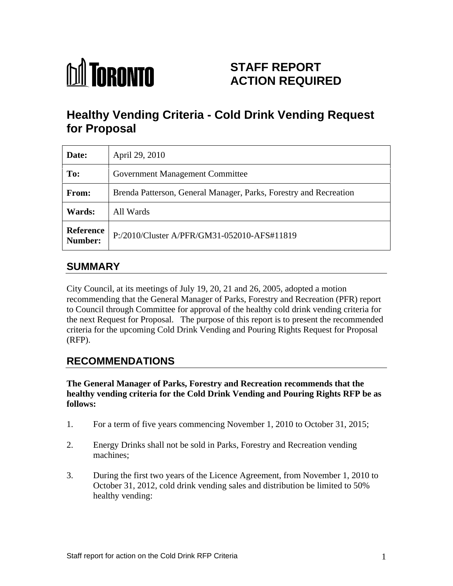

## **STAFF REPORT ACTION REQUIRED**

# **Healthy Vending Criteria - Cold Drink Vending Request for Proposal**

| Date:  | April 29, 2010                                                    |
|--------|-------------------------------------------------------------------|
| To:    | Government Management Committee                                   |
| From:  | Brenda Patterson, General Manager, Parks, Forestry and Recreation |
| Wards: | All Wards                                                         |
|        | Reference P:/2010/Cluster A/PFR/GM31-052010-AFS#11819             |

#### **SUMMARY**

City Council, at its meetings of July 19, 20, 21 and 26, 2005, adopted a motion recommending that the General Manager of Parks, Forestry and Recreation (PFR) report to Council through Committee for approval of the healthy cold drink vending criteria for the next Request for Proposal. The purpose of this report is to present the recommended criteria for the upcoming Cold Drink Vending and Pouring Rights Request for Proposal (RFP).

## **RECOMMENDATIONS**

**The General Manager of Parks, Forestry and Recreation recommends that the healthy vending criteria for the Cold Drink Vending and Pouring Rights RFP be as follows:**

- 1. For a term of five years commencing November 1, 2010 to October 31, 2015;
- 2. Energy Drinks shall not be sold in Parks, Forestry and Recreation vending machines; example a set of the set of the set of the set of the set of the set of the set of the set of the set of the set of the set of the set of the set of the set of the set of the set of the set of the set of the set
- 3. During the first two years of the Licence Agreement, from November 1, 2010 to October 31, 2012, cold drink vending sales and distribution be limited to 50% healthy vending: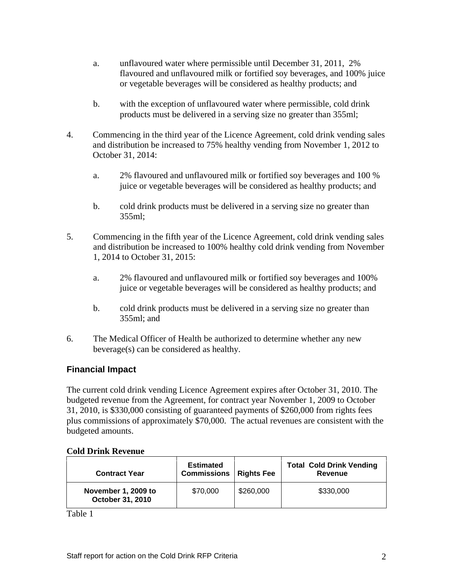- a. unflavoured water where permissible until December 31, 2011, 2% flavoured and unflavoured milk or fortified soy beverages, and 100% juice or vegetable beverages will be considered as healthy products; and
- b. with the exception of unflavoured water where permissible, cold drink products must be delivered in a serving size no greater than 355ml;
- 4. Commencing in the third year of the Licence Agreement, cold drink vending sales and distribution be increased to 75% healthy vending from November 1, 2012 to October 31, 2014:
	- a. 2% flavoured and unflavoured milk or fortified soy beverages and 100 % juice or vegetable beverages will be considered as healthy products; and
	- b. cold drink products must be delivered in a serving size no greater than  $355ml;$
- 5. Commencing in the fifth year of the Licence Agreement, cold drink vending sales and distribution be increased to 100% healthy cold drink vending from November 1, 2014 to October 31, 2015:
	- a. 2% flavoured and unflavoured milk or fortified soy beverages and 100% juice or vegetable beverages will be considered as healthy products; and
	- b. cold drink products must be delivered in a serving size no greater than 355ml; and
- 6. The Medical Officer of Health be authorized to determine whether any new beverage(s) can be considered as healthy.

#### **Financial Impact**

The current cold drink vending Licence Agreement expires after October 31, 2010. The budgeted revenue from the Agreement, for contract year November 1, 2009 to October 31, 2010, is \$330,000 consisting of guaranteed payments of \$260,000 from rights fees plus commissions of approximately \$70,000. The actual revenues are consistent with the budgeted amounts.

#### **Cold Drink Revenue**

Table 1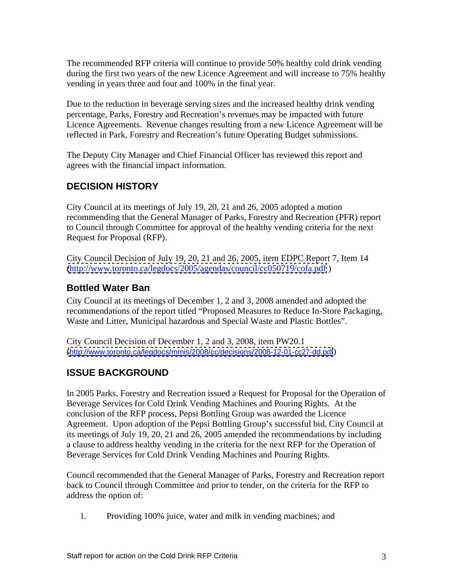The recommended RFP criteria will continue to provide 50% healthy cold drink vending during the first two years of the new Licence Agreement and will increase to 75% healthy vending in years three and four and 100% in the final year.

Due to the reduction in beverage serving sizes and the increased healthy drink vending percentage, Parks, Forestry and Recreation's revenues may be impacted with future Licence Agreements. Revenue changes resulting from a new Licence Agreement will be reflected in Park, Forestry and Recreation's future Operating Budget submissions. The Deputy City Manager and Chief Financial Officer has reviewed this report and

agrees with the financial impact information.

#### **DECISION HISTORY**

City Council at its meetings of July 19, 20, 21 and 26, 2005 adopted a motion recommending that the General Manager of Parks, Forestry and Recreation (PFR) report to Council through Committee for approval of the healthy vending criteria for the next

Request for Proposal (RFP).<br>City Council Decision of July 19, 20, 21 and 26, 2005, item EDPC Report 7, Item 14 [\(http://www.toronto.ca/legdocs/2005/agendas/council/cc050719/cofa.pdf](http://www.toronto.ca/legdocs/2005/agendas/council/cc050719/cofa.pdf) )

#### **Bottled Water Ban**

City Council at its meetings of December 1, 2 and 3, 2008 amended and adopted the recommendations of the report titled "Proposed Measures to Reduce In-Store Packaging, Waste and Litter, Municipal hazardous and Special Waste and Plastic Bottles".

City Council Decision of December 1, 2 and 3, 2008, item PW20.1 (<http://www.toronto.ca/legdocs/mmis/2008/cc/decisions/2008-12-01-cc27-dd.pdf>)

#### **ISSUE BACKGROUND**

In 2005 Parks, Forestry and Recreation issued a Request for Proposal for the Operation of Beverage Services for Cold Drink Vending Machines and Pouring Rights. At the conclusion of the RFP process, Pepsi Bottling Group was awarded the Licence Agreement. Upon adoption of the Pepsi Bottling Group's successful bid, City Council at its meetings of July 19, 20, 21 and 26, 2005 amended the recommendations by including a clause to address healthy vending in the criteria for the next RFP for the Operation of Beverage Services for Cold Drink Vending Machines and Pouring Rights.

Council recommended that the General Manager of Parks, Forestry and Recreation report back to Council through Committee and prior to tender, on the criteria for the RFP to address the option of:

1. Providing 100% juice, water and milk in vending machines; and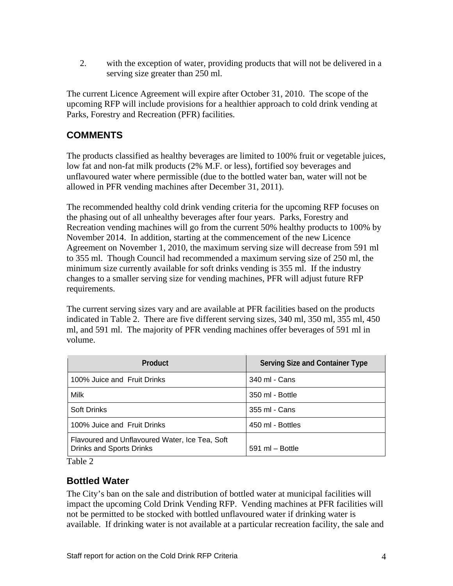2. with the exception of water, providing products that will not be delivered in a serving size greater than 250 ml.<br>The current Licence Agreement will expire after October 31, 2010. The scope of the

upcoming RFP will include provisions for a healthier approach to cold drink vending at Parks, Forestry and Recreation (PFR) facilities.

#### **COMMENTS**

The products classified as healthy beverages are limited to 100% fruit or vegetable juices, low fat and non-fat milk products (2% M.F. or less), fortified soy beverages and unflavoured water where permissible (due to the bottled water ban, water will not be allowed in PFR vending machines after December 31, 2011).

The recommended healthy cold drink vending criteria for the upcoming RFP focuses on the phasing out of all unhealthy beverages after four years. Parks, Forestry and Recreation vending machines will go from the current 50% healthy products to 100% by November 2014. In addition, starting at the commencement of the new Licence Agreement on November 1, 2010, the maximum serving size will decrease from 591 ml to 355 ml. Though Council had recommended a maximum serving size of 250 ml, the minimum size currently available for soft drinks vending is 355 ml. If the industry changes to a smaller serving size for vending machines, PFR will adjust future RFP requirements.<br>The current serving sizes vary and are available at PFR facilities based on the products

indicated in Table 2. There are five different serving sizes, 340 ml, 350 ml, 355 ml, 450 ml, and 591 ml. The majority of PFR vending machines offer beverages of 591 ml in volume.

| Product                                                                    | <b>Serving Size and Container Type</b> |
|----------------------------------------------------------------------------|----------------------------------------|
| 100% Juice and Fruit Drinks                                                | 340 ml - Cans                          |
| Milk                                                                       | 350 ml - Bottle                        |
| Soft Drinks                                                                | 355 ml - Cans                          |
| 100% Juice and Fruit Drinks                                                | 450 ml - Bottles                       |
| Flavoured and Unflavoured Water, Ice Tea, Soft<br>Drinks and Sports Drinks | 591 ml - Bottle                        |

Table 2

## **Bottled Water**

The City's ban on the sale and distribution of bottled water at municipal facilities will impact the upcoming Cold Drink Vending RFP. Vending machines at PFR facilities will not be permitted to be stocked with bottled unflavoured water if drinking water is available. If drinking water is not available at a particular recreation facility, the sale and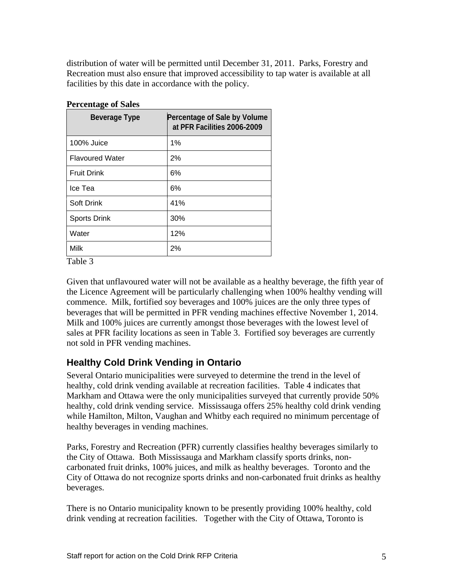distribution of water will be permitted until December 31, 2011. Parks, Forestry and Recreation must also ensure that improved accessibility to tap water is available at all facilities by this date in accordance with the policy.

| Percentage of Sale by Volume<br>at PFR Facilities 2006-2009 |
|-------------------------------------------------------------|
|                                                             |
| 2%                                                          |
| 6%                                                          |
|                                                             |
| 41%                                                         |
| 30%                                                         |
| 12%                                                         |
| − ⊘⁄                                                        |
|                                                             |

Table 3

Given that unflavoured water will not be available as a healthy beverage, the fifth year of the Licence Agreement will be particularly challenging when 100% healthy vending will commence. Milk, fortified soy beverages and 100% juices are the only three types of beverages that will be permitted in PFR vending machines effective November 1, 2014. Milk and 100% juices are currently amongst those beverages with the lowest level of sales at PFR facility locations as seen in Table 3. Fortified soy beverages are currently not sold in PFR vending machines.

## **Healthy Cold Drink Vending in Ontario**

Several Ontario municipalities were surveyed to determine the trend in the level of healthy, cold drink vending available at recreation facilities. Table 4 indicates that Markham and Ottawa were the only municipalities surveyed that currently provide 50% healthy, cold drink vending service. Mississauga offers 25% healthy cold drink vending while Hamilton, Milton, Vaughan and Whitby each required no minimum percentage of healthy beverages in vending machines.

Parks, Forestry and Recreation (PFR) currently classifies healthy beverages similarly to the City of Ottawa. Both Mississauga and Markham classify sports drinks, non carbonated fruit drinks, 100% juices, and milk as healthy beverages. Toronto and the City of Ottawa do not recognize sports drinks and non-carbonated fruit drinks as healthy beverages.

There is no Ontario municipality known to be presently providing 100% healthy, cold drink vending at recreation facilities. Together with the City of Ottawa, Toronto is